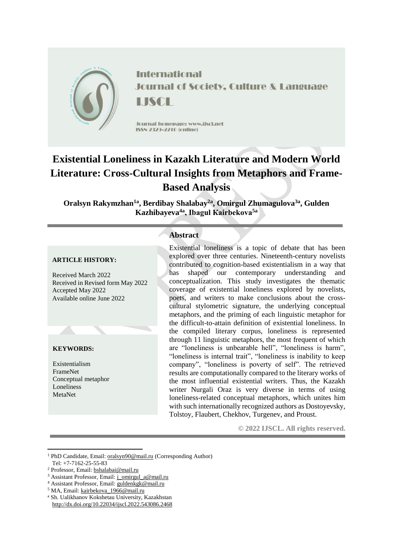

**International Journal of Society, Culture & Language** LISCE

Journal homepage: www.jiscl.net ISSN 2329-2210 (cnline)

# **Existential Loneliness in Kazakh Literature and Modern World Literature: Cross-Cultural Insights from Metaphors and Frame-Based Analysis**

**Oralsyn Rakymzhan1a , Berdibay Shalabay2a , Omirgul Zhumagulova3a , Gulden Kazhibayeva4a , Ibagul Кairbekova5a**

#### **ARTICLE HISTORY:**

Received March 2022 Received in Revised form May 2022 Accepted May 2022 Available online June 2022

### **KEYWORDS:**

1

Existentialism FrameNet Conceptual metaphor Loneliness MetaNet

# **Abstract**

Existential loneliness is a topic of debate that has been explored over three centuries. Nineteenth-century novelists contributed to cognition-based existentialism in a way that has shaped our contemporary understanding and conceptualization. This study investigates the thematic coverage of existential loneliness explored by novelists, poets, and writers to make conclusions about the crosscultural stylometric signature, the underlying conceptual metaphors, and the priming of each linguistic metaphor for the difficult-to-attain definition of existential loneliness. In the compiled literary corpus, loneliness is represented through 11 linguistic metaphors, the most frequent of which are "loneliness is unbearable hell", "loneliness is harm", "loneliness is internal trait", "loneliness is inability to keep company", "loneliness is poverty of self". The retrieved results are computationally compared to the literary works of the most influential existential writers. Thus, the Kazakh writer Nurgali Oraz is very diverse in terms of using loneliness-related conceptual metaphors, which unites him with such internationally recognized authors as Dostoyevsky, Tolstoy, Flaubert, Chekhov, Turgenev, and Proust.

**© 2022 IJSCL. All rights reserved.**

<sup>1</sup> PhD Candidate, Email[: oralsyn90@mail.ru](mailto:oralsyn90@mail.ru) (Corresponding Author) Tel: +7-7162-25-55-83

<sup>2</sup> Professor, Email: [bshalabai@mail.ru](mailto:bshalabai@mail.ru)

<sup>&</sup>lt;sup>3</sup> Assistant Professor, Email: [j\\_omirgul\\_a@mail.ru](mailto:j_omirgul_a@mail.ru)

<sup>4</sup> Assistant Professor, Email: [guldenkgk@mail.ru](mailto:guldenkgk@mail.ru)

<sup>&</sup>lt;sup>5</sup> MA, Email[: kairbekova\\_1966@mail.ru](mailto:kairbekova_1966@mail.ru)

<sup>a</sup> Sh. Ualikhanov Kokshetau University, Kazakhstan http://dx.doi.org/10.22034/ijscl.2022.543086.2468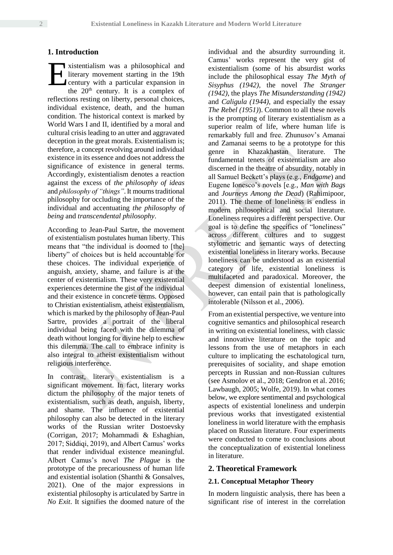## **1. Introduction**

vistentialism was a philosophical and literary movement starting in the 19th century with a particular expansion in the  $20<sup>th</sup>$  century. It is a complex of reflections resting on liberty, personal choices, individual existence, death, and the human condition. The historical context is marked by World Wars I and II, identified by a moral and cultural crisis leading to an utter and aggravated deception in the great morals. Existentialism is; therefore, a concept revolving around individual existence in its essence and does not address the significance of existence in general terms. Accordingly, existentialism denotes a reaction against the excess of *the philosophy of ideas* and *philosophy of "things"*. It mourns traditional philosophy for occluding the importance of the individual and accentuating *the philosophy of being* and *transcendental philosophy*. E

According to Jean-Paul Sartre, the movement of existentialism postulates human liberty. This means that "the individual is doomed to [the] liberty" of choices but is held accountable for these choices. The individual experience of anguish, anxiety, shame, and failure is at the center of existentialism. These very existential experiences determine the gist of the individual and their existence in concrete terms. Opposed to Christian existentialism, atheist existentialism, which is marked by the philosophy of Jean-Paul Sartre, provides a portrait of the liberal individual being faced with the dilemma of death without longing for divine help to eschew this dilemma. The call to embrace infinity is also integral to atheist existentialism without religious interference.

In contrast, literary existentialism is a significant movement. In fact, literary works dictum the philosophy of the major tenets of existentialism, such as death, anguish, liberty, and shame. The influence of existential philosophy can also be detected in the literary works of the Russian writer Dostoevsky (Corrigan, 2017; Mohammadi & Eshaghian, 2017; Siddiqi, 2019), and Albert Camus' works that render individual existence meaningful. Albert Camus's novel *The Plague* is the prototype of the precariousness of human life and existential isolation (Shanthi & Gonsalves, 2021). One of the major expressions in existential philosophy is articulated by Sartre in *No Exit*. It signifies the doomed nature of the

individual and the absurdity surrounding it. Camus' works represent the very gist of existentialism (some of his absurdist works include the philosophical essay *The Myth of Sisyphus (1942)*, the novel *The Stranger (1942)*, the plays *The Misunderstanding (1942)* and *Caligula (1944)*, and especially the essay *The Rebel (1951)*). Common to all these novels is the prompting of literary existentialism as a superior realm of life, where human life is remarkably full and free. Zhunusov's Amanai and Zamanai seems to be a prototype for this genre in Khazakhastan literature. The fundamental tenets of existentialism are also discerned in the theatre of absurdity, notably in all Samuel Beckett's plays (e.g., *Endgame*) and Eugene Ionesco's novels [e.g., *Man with Bags* and *Journeys Among the Dead*) (Rahimipoor, 2011). The theme of loneliness is endless in modern philosophical and social literature. Loneliness requires a different perspective. Our goal is to define the specifics of "loneliness" across different cultures and to suggest stylometric and semantic ways of detecting existential loneliness in literary works. Because loneliness can be understood as an existential category of life, existential loneliness is multifaceted and paradoxical. Moreover, the deepest dimension of existential loneliness, however, can entail pain that is pathologically intolerable (Nilsson et al., 2006).

From an existential perspective, we venture into cognitive semantics and philosophical research in writing on existential loneliness, with classic and innovative literature on the topic and lessons from the use of metaphors in each culture to implicating the eschatological turn, prerequisites of sociality, and shape emotion percepts in Russian and non-Russian cultures (see Asmolov et al., 2018; Gendron et al. 2016; Lawbaugh, 2005; Wolfe, 2019). In what comes below, we explore sentimental and psychological aspects of existential loneliness and underpin previous works that investigated existential loneliness in world literature with the emphasis placed on Russian literature. Four experiments were conducted to come to conclusions about the conceptualization of existential loneliness in literature.

#### **2. Theoretical Framework**

#### **2.1. Conceptual Metaphor Theory**

In modern linguistic analysis, there has been a significant rise of interest in the correlation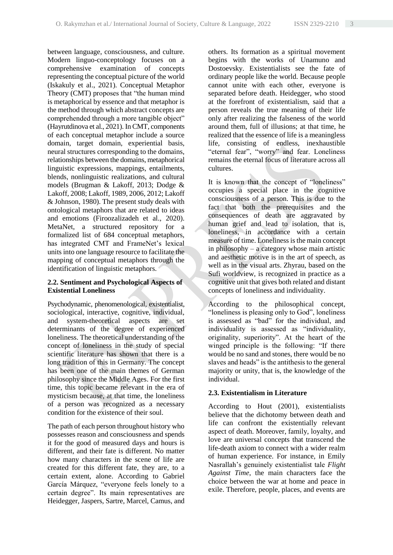between language, consciousness, and culture. Modern linguo-conceptology focuses on a comprehensive examination of concepts representing the conceptual picture of the world (Iskakuly et al., 2021). Conceptual Metaphor Theory (CMT) proposes that "the human mind is metaphorical by essence and that metaphor is the method through which abstract concepts are comprehended through a more tangible object" (Hayrutdinova et al., 2021). In CMT, components of each conceptual metaphor include a source domain, target domain, experiential basis, neural structures corresponding to the domains, relationships between the domains, metaphorical linguistic expressions, mappings, entailments, blends, nonlinguistic realizations, and cultural models (Brugman & Lakoff, 2013; Dodge & Lakoff, 2008; Lakoff, 1989, 2006, 2012; Lakoff & Johnson, 1980). The present study deals with ontological metaphors that are related to ideas and emotions (Firoozalizadeh et al., 2020). MetaNet, a structured repository for a formalized list of 684 conceptual metaphors, has integrated CMT and FrameNet's lexical units into one language resource to facilitate the mapping of conceptual metaphors through the identification of linguistic metaphors.

## **2.2. Sentiment and Psychological Aspects of Existential Loneliness**

Psychodynamic, phenomenological, existentialist, sociological, interactive, cognitive, individual, and system-theoretical aspects are set determinants of the degree of experienced loneliness. The theoretical understanding of the concept of loneliness in the study of special scientific literature has shown that there is a long tradition of this in Germany. The concept has been one of the main themes of German philosophy since the Middle Ages. For the first time, this topic became relevant in the era of mysticism because, at that time, the loneliness of a person was recognized as a necessary condition for the existence of their soul.

The path of each person throughout history who possesses reason and consciousness and spends it for the good of measured days and hours is different, and their fate is different. No matter how many characters in the scene of life are created for this different fate, they are, to a certain extent, alone. According to Gabriel García Márquez, "everyone feels lonely to a certain degree". Its main representatives are Heidegger, Jaspers, Sartre, Marcel, Camus, and others. Its formation as a spiritual movement begins with the works of Unamuno and Dostoevsky. Existentialists see the fate of ordinary people like the world. Because people cannot unite with each other, everyone is separated before death. Heidegger, who stood at the forefront of existentialism, said that a person reveals the true meaning of their life only after realizing the falseness of the world around them, full of illusions; at that time, he realized that the essence of life is a meaningless life, consisting of endless, inexhaustible "eternal fear", "worry" and fear. Loneliness remains the eternal focus of literature across all cultures.

It is known that the concept of "loneliness" occupies a special place in the cognitive consciousness of a person. This is due to the fact that both the prerequisites and the consequences of death are aggravated by human grief and lead to isolation, that is, loneliness, in accordance with a certain measure of time. Loneliness is the main concept in philosophy – a category whose main artistic and aesthetic motive is in the art of speech, as well as in the visual arts. Zhyrau, based on the Sufi worldview, is recognized in practice as a cognitive unit that gives both related and distant concepts of loneliness and individuality.

According to the philosophical concept, "loneliness is pleasing only to God", loneliness is assessed as "bad" for the individual, and individuality is assessed as "individuality, originality, superiority". At the heart of the winged principle is the following: "If there would be no sand and stones, there would be no slaves and heads" is the antithesis to the general majority or unity, that is, the knowledge of the individual.

## **2.3. Existentialism in Literature**

According to Hout (2001), existentialists believe that the dichotomy between death and life can confront the existentially relevant aspect of death. Moreover, family, loyalty, and love are universal concepts that transcend the life-death axiom to connect with a wider realm of human experience. For instance, in Emily Nasrallah's genuinely existentialist tale *Flight Against Time*, the main characters face the choice between the war at home and peace in exile. Therefore, people, places, and events are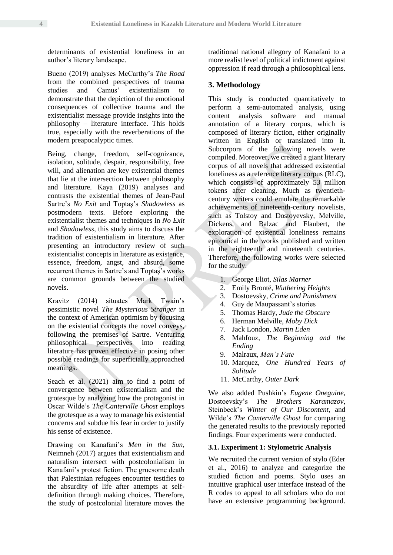determinants of existential loneliness in an author's literary landscape.

Bueno (2019) analyses McCarthy's *The Road* from the combined perspectives of trauma studies and Camus' existentialism to demonstrate that the depiction of the emotional consequences of collective trauma and the existentialist message provide insights into the philosophy – literature interface. This holds true, especially with the reverberations of the modern preapocalyptic times.

Being, change, freedom, self-cognizance, isolation, solitude, despair, responsibility, free will, and alienation are key existential themes that lie at the intersection between philosophy and literature. Kaya (2019) analyses and contrasts the existential themes of Jean-Paul Sartre's *No Exit* and Toptaş's *Shadowless* as postmodern texts. Before exploring the existentialist themes and techniques in *No Exit* and *Shadowless*, this study aims to discuss the tradition of existentialism in literature. After presenting an introductory review of such existentialist concepts in literature as existence, essence, freedom, angst, and absurd, some recurrent themes in Sartre's and Toptaş's works are common grounds between the studied novels.

Kravitz (2014) situates Mark Twain's pessimistic novel *The Mysterious Stranger* in the context of American optimism by focusing on the existential concepts the novel conveys, following the premises of Sartre. Venturing philosophical perspectives into reading literature has proven effective in posing other possible readings for superficially approached meanings.

Seach et al. (2021) aim to find a point of convergence between existentialism and the grotesque by analyzing how the protagonist in Oscar Wilde's *The Canterville Ghost* employs the grotesque as a way to manage his existential concerns and subdue his fear in order to justify his sense of existence.

Drawing on Kanafani's *Men in the Sun*, Neimneh (2017) argues that existentialism and naturalism intersect with postcolonialism in Kanafani's protest fiction. The gruesome death that Palestinian refugees encounter testifies to the absurdity of life after attempts at selfdefinition through making choices. Therefore, the study of postcolonial literature moves the

traditional national allegory of Kanafani to a more realist level of political indictment against oppression if read through a philosophical lens.

## **3. Methodology**

This study is conducted quantitatively to perform a semi-automated analysis, using content analysis software and manual annotation of a literary corpus, which is composed of literary fiction, either originally written in English or translated into it. Subcorpora of the following novels were compiled. Moreover, we created a giant literary corpus of all novels that addressed existential loneliness as a reference literary corpus (RLC), which consists of approximately 53 million tokens after cleaning. Much as twentiethcentury writers could emulate the remarkable achievements of nineteenth-century novelists, such as Tolstoy and Dostoyevsky, Melville, Dickens, and Balzac and Flaubert, the exploration of existential loneliness remains epitomical in the works published and written in the eighteenth and nineteenth centuries. Therefore, the following works were selected for the study.

- 1. George Eliot, *Silas Marner*
- 2. Emily Brontë, *Wuthering Heights*
- 3. Dostoevsky, *Crime and Punishment*
- 4. Guy de Maupassant's stories
- 5. Thomas Hardy, *Jude the Obscure*
- 6. Herman Melville, *Moby Dick*
- 7. Jack London, *Martin Eden*
- 8. Mahfouz, *The Beginning and the Ending*
- 9. Malraux, *Man's Fate*
- 10. Marquez, *One Hundred Years of Solitude*
- 11. McCarthy, *Outer Dark*

We also added Pushkin's *Eugene Oneguine*, Dostoevsky's *The Brothers Karamazov*, Steinbeck's *Winter of Our Discontent*, and Wilde's *The Canterville Ghost* for comparing the generated results to the previously reported findings. Four experiments were conducted.

### **3.1. Experiment 1: Stylometric Analysis**

We recruited the current version of stylo (Eder et al., 2016) to analyze and categorize the studied fiction and poems. Stylo uses an intuitive graphical user interface instead of the R codes to appeal to all scholars who do not have an extensive programming background.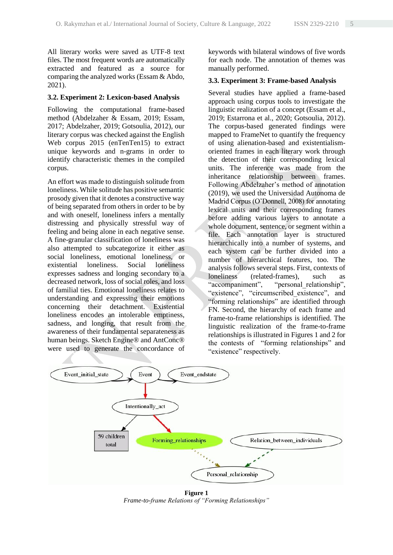All literary works were saved as UTF-8 text files. The most frequent words are automatically extracted and featured as a source for comparing the analyzed works (Essam & Abdo, 2021).

### **3.2. Experiment 2: Lexicon-based Analysis**

Following the computational frame-based method (Abdelzaher & Essam, 2019; Essam, 2017; Abdelzaher, 2019; Gotsoulia, 2012), our literary corpus was checked against the English Web corpus 2015 (enTenTen15) to extract unique keywords and n-grams in order to identify characteristic themes in the compiled corpus.

An effort was made to distinguish solitude from loneliness. While solitude has positive semantic prosody given that it denotes a constructive way of being separated from others in order to be by and with oneself, loneliness infers a mentally distressing and physically stressful way of feeling and being alone in each negative sense. A fine-granular classification of loneliness was also attempted to subcategorize it either as social loneliness, emotional loneliness, or existential loneliness. Social loneliness expresses sadness and longing secondary to a decreased network, loss of social roles, and loss of familial ties. Emotional loneliness relates to understanding and expressing their emotions concerning their detachment. Existential loneliness encodes an intolerable emptiness, sadness, and longing, that result from the awareness of their fundamental separateness as human beings. Sketch Engine® and AntConc® were used to generate the concordance of

keywords with bilateral windows of five words for each node. The annotation of themes was manually performed.

## **3.3. Experiment 3: Frame-based Analysis**

Several studies have applied a frame-based approach using corpus tools to investigate the linguistic realization of a concept (Essam et al., 2019; Estarrona et al., 2020; Gotsoulia, 2012). The corpus-based generated findings were mapped to FrameNet to quantify the frequency of using alienation-based and existentialismoriented frames in each literary work through the detection of their corresponding lexical units. The inference was made from the inheritance relationship between frames. Following Abdelzaher's method of annotation (2019), we used the Universidad Autonoma de Madrid Corpus (O'Donnell, 2008) for annotating lexical units and their corresponding frames before adding various layers to annotate a whole document, sentence, or segment within a file. Each annotation layer is structured hierarchically into a number of systems, and each system can be further divided into a number of hierarchical features, too. The analysis follows several steps. First, contexts of loneliness (related-frames), such as "accompaniment", "personal relationship", "existence", "circumscribed existence", and "forming relationships" are identified through FN. Second, the hierarchy of each frame and frame-to-frame relationships is identified. The linguistic realization of the frame-to-frame relationships is illustrated in Figures 1 and 2 for the contests of "forming relationships" and "existence" respectively.



**Figure 1** *Frame-to-frame Relations of "Forming Relationships"*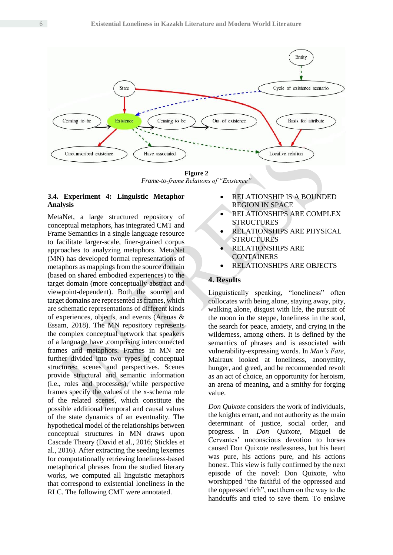

**Figure 2** *Frame-to-frame Relations of "Existence"*

## **3.4. Experiment 4: Linguistic Metaphor Analysis**

MetaNet, a large structured repository of conceptual metaphors, has integrated CMT and Frame Semantics in a single language resource to facilitate larger-scale, finer-grained corpus approaches to analyzing metaphors. MetaNet (MN) has developed formal representations of metaphors as mappings from the source domain (based on shared embodied experiences) to the target domain (more conceptually abstract and viewpoint-dependent). Both the source and target domains are represented as frames, which are schematic representations of different kinds of experiences, objects, and events (Arenas & Essam, 2018). The MN repository represents the complex conceptual network that speakers of a language have ,comprising interconnected frames and metaphors. Frames in MN are further divided into two types of conceptual structures: scenes and perspectives. Scenes provide structural and semantic information (i.e., roles and processes), while perspective frames specify the values of the x-schema role of the related scenes, which constitute the possible additional temporal and causal values of the state dynamics of an eventuality. The hypothetical model of the relationships between conceptual structures in MN draws upon Cascade Theory (David et al., 2016; Stickles et al., 2016). After extracting the seeding lexemes for computationally retrieving loneliness-based metaphorical phrases from the studied literary works, we computed all linguistic metaphors that correspond to existential loneliness in the RLC. The following CMT were annotated.

- RELATIONSHIP IS A BOUNDED REGION IN SPACE
- RELATIONSHIPS ARE COMPLEX **STRUCTURES**
- RELATIONSHIPS ARE PHYSICAL STRUCTURES
- RELATIONSHIPS ARE **CONTAINERS**
- RELATIONSHIPS ARE OBJECTS

## **4. Results**

Linguistically speaking, "loneliness" often collocates with being alone, staying away, pity, walking alone, disgust with life, the pursuit of the moon in the steppe, loneliness in the soul, the search for peace, anxiety, and crying in the wilderness, among others. It is defined by the semantics of phrases and is associated with vulnerability-expressing words. In *Man's Fate*, Malraux looked at loneliness, anonymity, hunger, and greed, and he recommended revolt as an act of choice, an opportunity for heroism, an arena of meaning, and a smithy for forging value.

*Don Quixote* considers the work of individuals, the knights errant, and not authority as the main determinant of justice, social order, and progress. In *Don Quixote*, Miguel de Cervantes' unconscious devotion to horses caused Don Quixote restlessness, but his heart was pure, his actions pure, and his actions honest. This view is fully confirmed by the next episode of the novel: Don Quixote, who worshipped "the faithful of the oppressed and the oppressed rich", met them on the way to the handcuffs and tried to save them. To enslave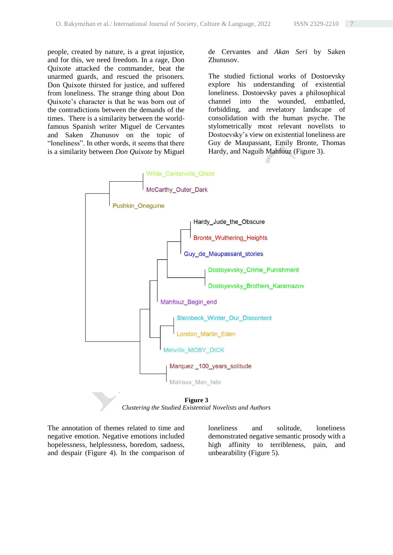people, created by nature, is a great injustice, and for this, we need freedom. In a rage, Don Quixote attacked the commander, beat the unarmed guards, and rescued the prisoners. Don Quixote thirsted for justice, and suffered from loneliness. The strange thing about Don Quixote's character is that he was born out of the contradictions between the demands of the times. There is a similarity between the worldfamous Spanish writer Miguel de Cervantes and Saken Zhunusov on the topic of "loneliness". In other words, it seems that there is a similarity between *Don Quixote* by Miguel de Cervantes and *Akan Seri* by Saken Zhunusov.

The studied fictional works of Dostoevsky explore his understanding of existential loneliness. Dostoevsky paves a philosophical channel into the wounded, embattled, forbidding, and revelatory landscape of consolidation with the human psyche. The stylometrically most relevant novelists to Dostoevsky's view on existential loneliness are Guy de Maupassant, Emily Bronte, Thomas Hardy, and Naguib Mahfouz (Figure 3).



**Figure 3** *Clustering the Studied Existential Novelists and Authors*

The annotation of themes related to time and negative emotion. Negative emotions included hopelessness, helplessness, boredom, sadness, and despair (Figure 4). In the comparison of loneliness and solitude, loneliness demonstrated negative semantic prosody with a high affinity to terribleness, pain, and unbearability (Figure 5).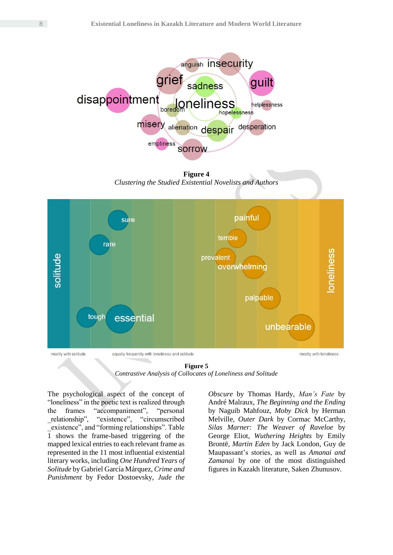

**Figure 4** *Clustering the Studied Existential Novelists and Authors*



**Figure 5** *Contrastive Analysis of Collocates of Loneliness and Solitude*

The psychological aspect of the concept of "loneliness" in the poetic text is realized through the frames "accompaniment", "personal \_relationship", "existence", "circumscribed \_existence", and "forming relationships". Table 1 shows the frame-based triggering of the mapped lexical entries to each relevant frame as represented in the 11 most influential existential literary works, including *One Hundred Years of Solitude* by Gabriel García Márquez, *Crime and Punishment* by Fedor Dostoevsky, *Jude the* 

*Obscure* by Thomas Hardy, *Man's Fate* by André Malraux, *The Beginning and the Ending* by Naguib Mahfouz, *Moby Dick* by Herman Melville, *Outer Dark* by Cormac McCarthy, *Silas Marner: The Weaver of Raveloe* by George Eliot, *Wuthering Heights* by Emily Brontë, *Martin Eden* by Jack London, Guy de Maupassant's stories, as well as *Amanai and Zamanai* by one of the most distinguished figures in Kazakh literature, Saken Zhunusov.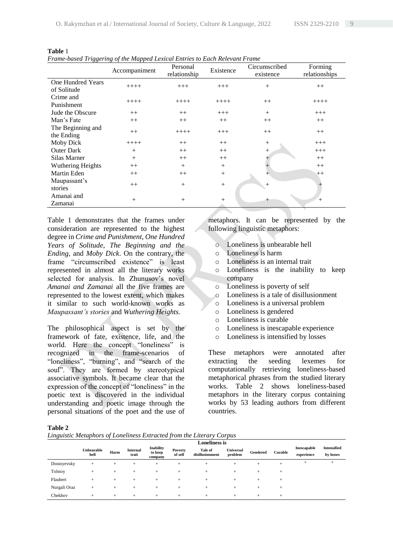|                          | Accompaniment | Personal<br>relationship | Existence      | Circumscribed<br>existence | Forming<br>relationships |
|--------------------------|---------------|--------------------------|----------------|----------------------------|--------------------------|
| <b>One Hundred Years</b> |               |                          |                |                            |                          |
| of Solitude              | $++++$        | $+++$                    | $+++$          | $^{+}$                     | $++$                     |
| Crime and                |               |                          |                |                            |                          |
| Punishment               | $+++++$       | $+++++$                  | $++++-$        | $++$                       | $++++-$                  |
| Jude the Obscure         | $++$          | $++$                     | $+++$          | $^{+}$                     | $+++$                    |
| Man's Fate               | $++$          | $++$                     | $++$           | $++$                       | $++$                     |
| The Beginning and        |               |                          |                |                            |                          |
| the Ending               | $^{++}$       | $+++++$                  | $+++$          | $++$                       | $++$                     |
| Moby Dick                | $++++$        | $++$                     | $++$           | $^{+}$                     | $+++$                    |
| <b>Outer Dark</b>        | $^{+}$        | $++$                     | $++$           | $+$                        | $+++$                    |
| Silas Marner             | $^{+}$        | $++$                     | $++$           |                            | $++$                     |
| Wuthering Heights        | $++$          | $+$                      | $^{+}$         |                            | $++$                     |
| Martin Eden              | $++$          | $++$                     | $^{+}$         | $^{+}$                     | $++$                     |
| Maupassant's             |               |                          |                |                            |                          |
| stories                  | $++$          | $+$                      | $^{+}$         | $^{+}$                     | $^{+}$                   |
| Amanai and               |               |                          |                |                            |                          |
| Zamanai                  | $^{+}$        | $^{+}$                   | $\overline{+}$ | +                          | $^{+}$                   |

**Table** 1 *Frame-based Triggering of the Mapped Lexical Entries to Each Relevant Frame* 

Table 1 demonstrates that the frames under consideration are represented to the highest degree in *Crime and Punishment*, *One Hundred Years of Solitude*, *The Beginning and the Ending*, and *Moby Dick*. On the contrary, the frame "circumscribed existence" is least represented in almost all the literary works selected for analysis. In Zhunusov's novel *Amanai and Zamanai* all the five frames are represented to the lowest extent, which makes it similar to such world-known works as *Maupassant's stories* and *Wuthering Heights*.

The philosophical aspect is set by the framework of fate, existence, life, and the world. Here the concept "loneliness" is recognized in the frame-scenarios of "loneliness", "burning", and "search of the soul". They are formed by stereotypical associative symbols. It became clear that the expression of the concept of "loneliness" in the poetic text is discovered in the individual understanding and poetic image through the personal situations of the poet and the use of

metaphors. It can be represented by the following linguistic metaphors:

- o Loneliness is unbearable hell
- o Loneliness is harm
- o Loneliness is an internal trait
- o Loneliness is the inability to keep company
- o Loneliness is poverty of self
- o Loneliness is a tale of disillusionment
- o Loneliness is a universal problem
- o Loneliness is gendered
- o Loneliness is curable
- o Loneliness is inescapable experience
- o Loneliness is intensified by losses

These metaphors were annotated after extracting the seeding lexemes for computationally retrieving loneliness-based metaphorical phrases from the studied literary works. Table 2 shows loneliness-based metaphors in the literary corpus containing works by 53 leading authors from different countries.

**Table 2**

|  |  |  | Linguistic Metaphors of Loneliness Extracted from the Literary Corpus |  |  |  |
|--|--|--|-----------------------------------------------------------------------|--|--|--|
|  |  |  |                                                                       |  |  |  |
|  |  |  |                                                                       |  |  |  |
|  |  |  |                                                                       |  |  |  |

|              |                    | <b>Loneliness is</b> |                   |                                 |                    |                            |                             |          |                |                                  |                                 |
|--------------|--------------------|----------------------|-------------------|---------------------------------|--------------------|----------------------------|-----------------------------|----------|----------------|----------------------------------|---------------------------------|
|              | Unbearable<br>hell | Harm                 | Internal<br>trait | Inability<br>to keep<br>company | Poverty<br>of self | Tale of<br>disillusionment | <b>Universal</b><br>problem | Gendered | <b>Curable</b> | <b>Inescapable</b><br>experience | <b>Intensified</b><br>by losses |
| Dostoyevsky  | $^{+}$             | $^{+}$               |                   | $^+$                            | ÷                  | $^{+}$                     | $^+$                        | $^+$     | $^+$           | $^{+}$                           | $^+$                            |
| Tolstoy      | $^{+}$             | $^{+}$               | ÷                 | +                               | $^+$               | $^{+}$                     | $^+$                        | $^+$     | $^+$           |                                  |                                 |
| Flaubert     | $^{+}$             | $^{+}$               | ÷                 |                                 | +                  | $+$                        | +                           | $^+$     | $^{+}$         |                                  |                                 |
| Nurgali Oraz | $^{+}$             | $^{+}$               |                   | +                               | $\pm$              | $^{+}$                     | $^+$                        | $^+$     | $^{+}$         |                                  |                                 |
| Chekhov      | $^{+}$             | $^{+}$               | $^{+}$            | $^+$                            | $^+$               | $^{+}$                     | $^{+}$                      | $^+$     | $^{+}$         |                                  |                                 |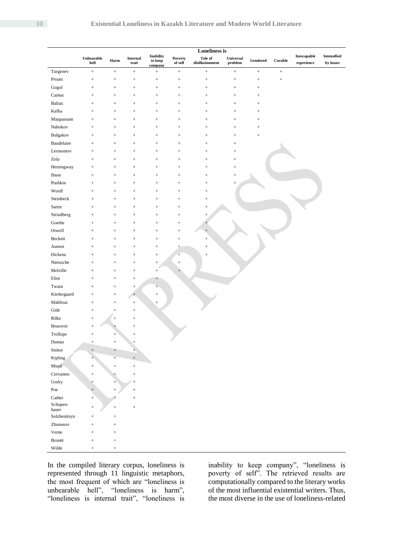|                       |                                  | <b>Loneliness is</b> |                                       |                                        |                    |                                                                        |                      |                 |         |                                                |                                 |
|-----------------------|----------------------------------|----------------------|---------------------------------------|----------------------------------------|--------------------|------------------------------------------------------------------------|----------------------|-----------------|---------|------------------------------------------------|---------------------------------|
|                       | Unbearable<br>hell               | Harm                 | Internal<br>$\mathop{\mathsf{train}}$ | <b>Inability</b><br>to keep<br>company | Poverty<br>of self | Tale of<br>$\label{thm:disclusion} \textbf{disillusion} \textbf{ment}$ | Universal<br>problem | Gendered        | Curable | $\label{thm:main} In escapeable$<br>experience | <b>Intensified</b><br>by losses |
| Turgenev              | $\ddot{}$                        | $\boldsymbol{+}$     | $\! +$                                | $^{+}$                                 | $^+$               | $\! +$                                                                 | $\! +$               | $^+$            | $^+$    |                                                |                                 |
| Proust                | $\! + \!$                        | $^+$                 | $^{+}$                                |                                        | $^+$               | $^+$                                                                   |                      |                 | $^+$    |                                                |                                 |
| Gogol                 | $\! + \!\!\!\!$                  | $^+$                 | $\! + \!\!\!\!$                       |                                        | $\! + \!\!\!\!$    | $\! + \!\!\!\!$                                                        |                      | $^+$            |         |                                                |                                 |
| Camus                 | $+$                              | $^+$                 | $\! + \!\!\!\!$                       |                                        | $^+$               | $\! + \!\!\!\!$                                                        |                      | $\! + \!\!\!\!$ |         |                                                |                                 |
| Balzac                | $\! + \!\!\!\!$                  | $^+$                 | $^{+}$                                |                                        | $\! + \!\!\!\!$    |                                                                        | $^{+}$               | $^+$            |         |                                                |                                 |
| Kafka                 | $^{+}$                           | $\! + \!$            | $^{+}$                                |                                        | $\! + \!$          |                                                                        | $^{+}$               |                 |         |                                                |                                 |
| Maupassant            | $\! + \!$                        | $\! + \!$            | $^{+}$                                |                                        | $\! + \!\!\!\!$    |                                                                        | $^{+}$               |                 |         |                                                |                                 |
| Nabokov               | $\! + \!\!\!\!$                  | $\! + \!$            | $^{+}$                                |                                        | $\! + \!\!\!\!$    |                                                                        | $^{+}$               |                 |         |                                                |                                 |
| Bulgakov              | $\! + \!$                        | $^+$                 | $^{+}$                                |                                        | $\! + \!\!\!\!$    |                                                                        | $^{+}$               | $^{+}$          |         |                                                |                                 |
| Baudelaire            | $^{+}$                           | $^{+}$               | $\! + \!$                             | $^{+}$                                 | $\! + \!\!\!\!$    |                                                                        | $\! + \!\!\!\!$      |                 |         |                                                |                                 |
| Lermontov             | $\! + \!$                        | $^+$                 | $\! + \!$                             | $^{+}$                                 | $\! + \!\!\!\!$    |                                                                        | $\! + \!\!\!\!$      |                 |         |                                                |                                 |
| Zola                  | $\! + \!$                        | $^+$                 |                                       | $^{+}$                                 | $\! + \!$          |                                                                        | $\! + \!\!\!\!$      |                 |         |                                                |                                 |
| Hemingway             | $\! + \!$                        | $^+$                 |                                       | $^{+}$                                 | $\! + \!\!\!\!$    |                                                                        | $\! + \!\!\!\!$      |                 |         |                                                |                                 |
| Ibsen                 | $^{+}$                           | $\! + \!$            |                                       | $^{+}$                                 | $\! + \!\!\!\!$    |                                                                        | $^{+}$               |                 |         |                                                |                                 |
| Pushkin               | $\! + \!$                        | $\! + \!\!\!\!$      | $^{+}$                                | $\! + \!$                              | $\! + \!$          | $\! + \!\!\!\!$                                                        | $^{+}$               |                 |         |                                                |                                 |
| Woolf                 | $\! + \!$                        | $\! + \!\!\!\!$      | $^{+}$                                | $\! + \!$                              | $\! + \!\!\!\!$    | $\! + \!\!\!\!$                                                        |                      |                 |         |                                                |                                 |
| Steinbeck             | $\! + \!$                        | $\! + \!\!\!\!$      | $^{+}$                                | $\! + \!$                              | $\! + \!\!\!\!$    | $\! + \!\!\!\!$                                                        |                      |                 |         |                                                |                                 |
| Sartre                | $\! + \!$                        |                      | $^{+}$                                | $\! + \!$                              | $\! + \!$          |                                                                        |                      |                 |         |                                                |                                 |
| Strindberg            |                                  | $\! + \!\!\!\!$      |                                       |                                        |                    |                                                                        |                      |                 |         |                                                |                                 |
|                       | $\! + \!$                        | $\! + \!\!\!\!$      | $^{+}$                                | $\! + \!$                              | $\! + \!\!\!\!$    | $\! + \!\!\!\!$                                                        |                      |                 |         |                                                |                                 |
| Goethe<br>Orwell      | $\! + \!\!\!\!$                  | $+$                  | $\! + \!\!\!\!$                       | $\! + \!$                              | $\! + \!\!\!\!$    | $^{+}$                                                                 |                      |                 |         |                                                |                                 |
|                       | $\! + \!\!\!\!$                  | $+$                  | $\! + \!\!\!\!$                       | $\! + \!$                              | $^+$               | $^{+}$                                                                 |                      |                 |         |                                                |                                 |
| Beckett               | $\! + \!\!\!\!$                  | $\! + \!\!\!\!$      |                                       |                                        | $^+$               |                                                                        |                      |                 |         |                                                |                                 |
| Austen                | $+$                              | $+$                  | $\! + \!\!\!\!$                       | $^{+}$                                 | $\pm$              | $^{+}$                                                                 |                      |                 |         |                                                |                                 |
| Dickens               | $+$                              | $+$                  | $\! + \!\!\!\!$                       | $^{+}$                                 | $+$                | $\! + \!\!\!\!$                                                        |                      |                 |         |                                                |                                 |
| Nietzsche             | $\! + \!$                        | $\! + \!$            |                                       | $\! + \!\!\!\!$                        | $\! + \!\!\!\!$    |                                                                        |                      |                 |         |                                                |                                 |
| Melville              | $\! + \!\!\!\!$                  | $\! + \!\!\!\!$      |                                       | $\! + \!\!\!\!$                        | $\! + \!\!\!$      |                                                                        |                      |                 |         |                                                |                                 |
| Eliot                 | $^{+}$                           | $\! + \!\!\!\!$      |                                       | $^{+}$                                 |                    |                                                                        |                      |                 |         |                                                |                                 |
| Twain                 | $\! + \!$                        | $\! + \!\!\!\!$      | $^{+}$                                | $^{+}$                                 |                    |                                                                        |                      |                 |         |                                                |                                 |
| Kierkegaard           | $\! + \!$                        | $\! + \!\!\!\!$      | $\qquad \qquad +$                     | $\! + \!\!\!\!$                        |                    |                                                                        |                      |                 |         |                                                |                                 |
| Mahfouz               | $^{+}$                           | $\! + \!$            | $\! +$                                | $^{+}$                                 |                    |                                                                        |                      |                 |         |                                                |                                 |
| Gide                  | $^{+}$                           | $\! + \!$            |                                       |                                        |                    |                                                                        |                      |                 |         |                                                |                                 |
| Rilke                 | $^{+}$                           |                      | $\! + \!\!\!\!$                       |                                        |                    |                                                                        |                      |                 |         |                                                |                                 |
| Beauvoir              | $\! + \!$                        | $^{+}$               | $^{+}$                                |                                        |                    |                                                                        |                      |                 |         |                                                |                                 |
| Trollope              | $^{+}$                           | $\! + \!$            | $\! + \!$                             |                                        |                    |                                                                        |                      |                 |         |                                                |                                 |
| $\mathbf{Dumas}$      | ÷                                |                      |                                       |                                        |                    |                                                                        |                      |                 |         |                                                |                                 |
| Stoker                | $\begin{array}{c} + \end{array}$ | $^+$                 | $^{+}$                                |                                        |                    |                                                                        |                      |                 |         |                                                |                                 |
| Kipling               | $^{+}$                           | $\! +\!$             | $^+ \,$                               |                                        |                    |                                                                        |                      |                 |         |                                                |                                 |
| Musil                 | $^{+}$                           | $\! + \!$            | $\! + \!$                             |                                        |                    |                                                                        |                      |                 |         |                                                |                                 |
| Cervantes             | $^{+}$                           | $^{+}$               | $^{+}$                                |                                        |                    |                                                                        |                      |                 |         |                                                |                                 |
| Gorky                 | $^{+}$                           | $+$                  | $^{+}$                                |                                        |                    |                                                                        |                      |                 |         |                                                |                                 |
| $\mbox{Poe}$          | $^+$                             | $^+$                 | $+$                                   |                                        |                    |                                                                        |                      |                 |         |                                                |                                 |
| Cather                | $\qquad \qquad +$                | $^{+}$               | $\! + \!\!\!\!$                       |                                        |                    |                                                                        |                      |                 |         |                                                |                                 |
| Schopen-              | $^{+}$                           | $\boldsymbol{+}$     | $^+$                                  |                                        |                    |                                                                        |                      |                 |         |                                                |                                 |
| hauer<br>Solzhenitsyn | $\! + \!\!\!\!$                  | $^+$                 |                                       |                                        |                    |                                                                        |                      |                 |         |                                                |                                 |
| Zhunusov              | $+$                              | $^+$                 |                                       |                                        |                    |                                                                        |                      |                 |         |                                                |                                 |
| Verne                 | $+$                              |                      |                                       |                                        |                    |                                                                        |                      |                 |         |                                                |                                 |
| Brontë                |                                  | $^+$                 |                                       |                                        |                    |                                                                        |                      |                 |         |                                                |                                 |
|                       | $\! + \!\!\!\!$                  | $^+$                 |                                       |                                        |                    |                                                                        |                      |                 |         |                                                |                                 |
| Wilde                 | $^{+}$                           | $^+$                 |                                       |                                        |                    |                                                                        |                      |                 |         |                                                |                                 |

In the compiled literary corpus, loneliness is represented through 11 linguistic metaphors, the most frequent of which are "loneliness is unbearable hell", "loneliness is harm", "loneliness is internal trait", "loneliness is

inability to keep company", "loneliness is poverty of self". The retrieved results are computationally compared to the literary works of the most influential existential writers. Thus, the most diverse in the use of loneliness-related

l,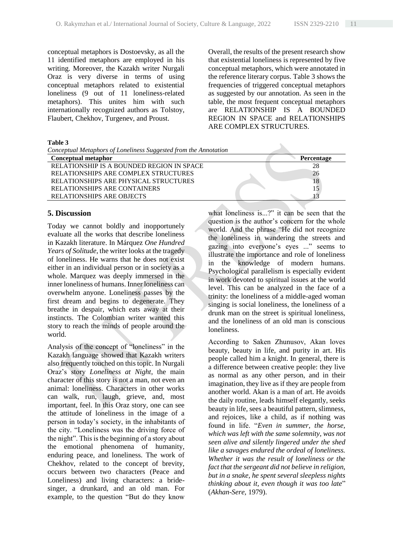conceptual metaphors is Dostoevsky, as all the 11 identified metaphors are employed in his writing. Moreover, the Kazakh writer Nurgali Oraz is very diverse in terms of using conceptual metaphors related to existential loneliness (9 out of 11 loneliness-related metaphors). This unites him with such internationally recognized authors as Tolstoy, Flaubert, Chekhov, Turgenev, and Proust.

**Table 3**

| Table 3                                                          |                   |
|------------------------------------------------------------------|-------------------|
| Conceptual Metaphors of Loneliness Suggested from the Annotation |                   |
| Conceptual metaphor                                              | <b>Percentage</b> |
| RELATIONSHIP IS A BOUNDED REGION IN SPACE                        | 28                |
| RELATIONSHIPS ARE COMPLEX STRUCTURES                             | 26                |
| RELATIONSHIPS ARE PHYSICAL STRUCTURES                            | 18                |
| RELATIONSHIPS ARE CONTAINERS                                     | 15                |
| <b>RELATIONSHIPS ARE OBJECTS</b>                                 |                   |

## **5. Discussion**

Today we cannot boldly and inopportunely evaluate all the works that describe loneliness in Kazakh literature. In Márquez *One Hundred Years of Solitude*, the writer looks at the tragedy of loneliness. He warns that he does not exist either in an individual person or in society as a whole. Marquez was deeply immersed in the inner loneliness of humans. Inner loneliness can overwhelm anyone. Loneliness passes by the first dream and begins to degenerate. They breathe in despair, which eats away at their instincts. The Colombian writer wanted this story to reach the minds of people around the world.

Analysis of the concept of "loneliness" in the Kazakh language showed that Kazakh writers also frequently touched on this topic. In Nurgali Oraz's story *Loneliness at Night*, the main character of this story is not a man, not even an animal: loneliness. Characters in other works can walk, run, laugh, grieve, and, most important, feel. In this Oraz story, one can see the attitude of loneliness in the image of a person in today's society, in the inhabitants of the city. "Loneliness was the driving force of the night". This is the beginning of a story about the emotional phenomena of humanity, enduring peace, and loneliness. The work of Chekhov, related to the concept of brevity, occurs between two characters (Peace and Loneliness) and living characters: a bridesinger, a drunkard, and an old man. For example, to the question "But do they know

what loneliness is...?" it can be seen that the question is the author's concern for the whole world. And the phrase "He did not recognize the loneliness in wandering the streets and gazing into everyone's eyes ..." seems to illustrate the importance and role of loneliness in the knowledge of modern humans. Psychological parallelism is especially evident in work devoted to spiritual issues at the world level. This can be analyzed in the face of a trinity: the loneliness of a middle-aged woman singing is social loneliness, the loneliness of a drunk man on the street is spiritual loneliness, and the loneliness of an old man is conscious loneliness.

Overall, the results of the present research show that existential loneliness is represented by five conceptual metaphors, which were annotated in the reference literary corpus. Table 3 shows the frequencies of triggered conceptual metaphors as suggested by our annotation. As seen in the table, the most frequent conceptual metaphors are RELATIONSHIP IS A BOUNDED REGION IN SPACE and RELATIONSHIPS

ARE COMPLEX STRUCTURES.

Аccording to Saken Zhunusov, Akan loves beauty, beauty in life, and purity in art. His people called him a knight. In general, there is a difference between creative people: they live as normal as any other person, and in their imagination, they live as if they are people from another world. Akan is a man of art. He avoids the daily routine, leads himself elegantly, seeks beauty in life, sees a beautiful pattern, slimness, and rejoices, like a child, as if nothing was found in life. "*Even in summer, the horse, which was left with the same solemnity, was not seen alive and silently lingered under the shed like a savages endured the ordeal of loneliness. Whether it was the result of loneliness or the fact that the sergeant did not believe in religion, but in a snake, he spent several sleepless nights thinking about it, even though it was too late*" (*Akhan*-*Sere,* 1979).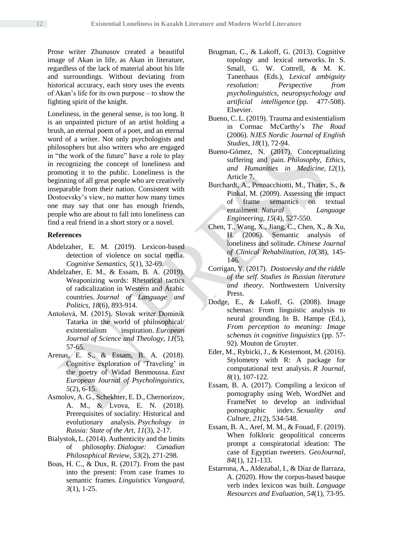Prose writer Zhunusov created a beautiful image of Akan in life, as Akan in literature, regardless of the lack of material about his life and surroundings. Without deviating from historical accuracy, each story uses the events of Akan's life for its own purpose – to show the fighting spirit of the knight.

Loneliness, in the general sense, is too long. It is an unpainted picture of an artist holding a brush, an eternal poem of a poet, and an eternal word of a writer. Not only psychologists and philosophers but also writers who are engaged in "the work of the future" have a role to play in recognizing the concept of loneliness and promoting it to the public. Loneliness is the beginning of all great people who are creatively inseparable from their nation. Consistent with Dostoevsky's view, no matter how many times one may say that one has enough friends, people who are about to fall into loneliness can find a real friend in a short story or a novel.

#### **References**

- Abdelzaher, E. M. (2019). Lexicon-based detection of violence on social media. *Cognitive Semantics, 5*(1), 32-69.
- Abdelzaher, E. M., & Essam, B. A. (2019). Weaponizing words: Rhetorical tactics of radicalization in Western and Arabic countries. *Journal of Language and Politics, 18*(6), 893-914.
- Antošová, M. (2015). Slovak writer Dominik Tatarka in the world of philosophical/ existentialism inspiration. *European Journal of Science and Theology, 11*(5), 57-65.
- Arenas, E. S., & Essam, B. A. (2018). Cognitive exploration of 'Traveling' in the poetry of Widad Benmoussa. *East European Journal of Psycholinguistics, 5*(2), 6-15.
- Asmolov, A. G., Schekhter, E. D., Chernorizov, A. M., & Lvova, E. N. (2018). Prerequisites of sociality: Historical and evolutionary analysis. *Psychology in Russia: State of the Art, 11*(3), 2-17.
- Bialystok, L. (2014). Authenticity and the limits of philosophy. *Dialogue: Canadian Philosophical Review, 53*(2), 271-298.
- Boas, H. C., & Dux, R. (2017). From the past into the present: From case frames to semantic frames*. Linguistics Vanguard, 3*(1), 1-25.
- Brugman, C., & Lakoff, G. (2013). Cognitive topology and lexical networks. In S. Small, G. W. Cottrell, & M. K. Tanenhaus (Eds.), *Lexical ambiguity resolution: Perspective from psycholinguistics, neuropsychology and artificial intelligence* (pp. 477-508). Elsevier.
- Bueno, C. L. (2019). Trauma and existentialism in Cormac McCarthy's *The Road* (2006). *NJES Nordic Journal of English Studies, 18*(1), 72-94.
- Bueno-Gómez, N. (2017). Conceptualizing suffering and pain. *Philosophy, Ethics, and Humanities in Medicine, 12*(1), Article 7.
- Burchardt, A., Pennacchiotti, M., Thater, S., & Pinkal, M. (2009). Assessing the impact of frame semantics on textual entailment. *Natural Language Engineering, 15*(4), 527-550.
- Chen, T., Wang, X., Jiang, C., Chen, X., & Xu, H. (2006). Semantic analysis of loneliness and solitude. *Chinese Journal of Clinical Rehabilitation, 10*(38), 145- 146.
- Corrigan, Y. (2017). *Dostoevsky and the riddle of the self. Studies in Russian literature and theory*. Northwestern University Press.
- Dodge, E., & Lakoff, G. (2008). Image schemas: From linguistic analysis to neural grounding. In B. Hampe (Ed.), *From perception to meaning: Image schemas in cognitive linguistics* (pp. 57- 92). Mouton de Gruyter.
- Eder, M., Rybicki, J., & Kestemont, M. (2016). Stylometry with R: A package for computational text analysis. *R Journal, 8*(1), 107-122.
- Essam, B. A. (2017). Compiling a lexicon of pornography using Web, WordNet and FrameNet to develop an individual pornographic index. *Sexuality and Culture, 21*(2), 534-548.
- Essam, B. A., Aref, M. M., & Fouad, F. (2019). When folkloric geopolitical concerns prompt a conspiratorial ideation: The case of Egyptian tweeters. *GeoJournal, 84*(1), 121-133.
- Estarrona, A., Aldezabal, I., & Díaz de Ilarraza, A. (2020). How the corpus-based basque verb index lexicon was built. *Language Resources and Evaluation, 54*(1), 73-95.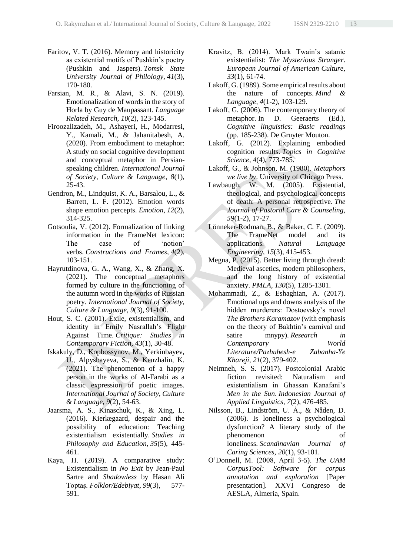- Faritov, V. T. (2016). Memory and historicity as existential motifs of Pushkin's poetry (Pushkin and Jaspers). *Tomsk State University Journal of Philology, 41*(3), 170-180.
- Farsian, M. R., & Alavi, S. N. (2019). Emotionalization of words in the story of Horla by Guy de Maupassant. *Language Related Research, 10*(2), 123-145.
- Firoozalizadeh, M., Ashayeri, H., Modarresi, Y., Kamali, M., & Jahanitabesh, A. (2020). From embodiment to metaphor: A study on social cognitive development and conceptual metaphor in Persianspeaking children. *International Journal of Society, Culture & Language, 8*(1), 25-43.
- Gendron, M., Lindquist, K. A., Barsalou, L., & Barrett, L. F. (2012). Emotion words shape emotion percepts. *Emotion, 12*(2), 314-325.
- Gotsoulia, V. (2012). Formalization of linking information in the FrameNet lexicon: The case of 'notion' verbs. *Constructions and Frames, 4*(2), 103-151.
- Hayrutdinova, G. A., Wang, X., & Zhang, X. (2021). The conceptual metaphors formed by culture in the functioning of the autumn word in the works of Russian poetry. *International Journal of Society, Culture & Language, 9*(3), 91-100.
- Hout, S. C. (2001). Exile, existentialism, and identity in Emily Nasrallah's Flight Against Time. *Critique: Studies in Contemporary Fiction, 43*(1), 30-48.
- Iskakuly, D., Kopbossynov, M., Yerkinbayev, U., Alpysbayeva, S., & Kenzhalin, K. (2021). The phenomenon of a happy person in the works of Al-Farabi as a classic expression of poetic images. *International Journal of Society, Culture & Language, 9*(2), 54-63.
- Jaarsma, A. S., Kinaschuk, K., & Xing, L. (2016). Kierkegaard, despair and the possibility of education: Teaching existentialism existentially. *Studies in Philosophy and Education, 35*(5), 445- 461.
- Kaya, H. (2019). A comparative study: Existentialism in *No Exit* by Jean-Paul Sartre and *Shadowless* by Hasan Ali Toptaş. *Folklor/Edebiyat, 99*(3), 577- 591.
- Kravitz, B. (2014). Mark Twain's satanic existentialist: *The Mysterious Stranger*. *European Journal of American Culture, 33*(1), 61-74.
- Lakoff, G. (1989). Some empirical results about the nature of concepts. *Mind & Language, 4*(1-2), 103-129.
- Lakoff, G. (2006). The contemporary theory of metaphor. In D. Geeraerts (Ed.), *Cognitive linguistics: Basic readings* (pp. 185-238). De Gruyter Mouton.
- Lakoff, G. (2012). Explaining embodied cognition results. *Topics in Cognitive Science, 4*(4), 773-785.
- Lakoff, G., & Johnson, M. (1980). *Metaphors we live by*. University of Chicago Press.
- Lawbaugh, W. M. (2005). Existential, theological, and psychological concepts of death: A personal retrospective. *The Journal of Pastoral Care & Counseling, 59*(1-2), 17-27.
- Lönneker-Rodman, B., & Baker, C. F. (2009). The FrameNet model and its applications. *Natural Language Engineering, 15*(3), 415-453.
- Megna, P. (2015). Better living through dread: Medieval ascetics, modern philosophers, and the long history of existential anxiety. *PMLA, 130*(5), 1285-1301.
- Mohammadi, Z., & Eshaghian, A. (2017). Emotional ups and downs analysis of the hidden murderers: Dostoevsky's novel *The Brothers Karamazov* (with emphasis on the theory of Bakhtin's carnival and satire mnypy). *Research in Contemporary World Literature/Pazhuhesh-e Zabanha-Ye Khareji, 21*(2), 379-402.
- Neimneh, S. S. (2017). Postcolonial Arabic fiction revisited: Naturalism and existentialism in Ghassan Kanafani's *Men in the Sun*. *Indonesian Journal of Applied Linguistics, 7*(2), 476-485.
- Nilsson, B., Lindström, U. Å., & Nåden, D. (2006). Is loneliness a psychological dysfunction? A literary study of the phenomenon of loneliness. *Scandinavian Journal of Caring Sciences, 20*(1), 93-101.
- O'Donnell, M. (2008, April 3-5). *The UAM CorpusTool: Software for corpus annotation and exploration* [Paper presentation]. XXVI Congreso de AESLA, Almeria, Spain.